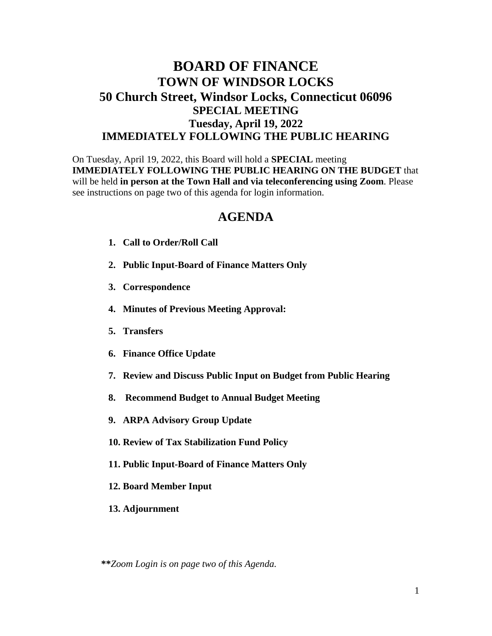## **BOARD OF FINANCE TOWN OF WINDSOR LOCKS 50 Church Street, Windsor Locks, Connecticut 06096 SPECIAL MEETING Tuesday, April 19, 2022 IMMEDIATELY FOLLOWING THE PUBLIC HEARING**

On Tuesday, April 19, 2022, this Board will hold a **SPECIAL** meeting **IMMEDIATELY FOLLOWING THE PUBLIC HEARING ON THE BUDGET** that will be held **in person at the Town Hall and via teleconferencing using Zoom**. Please see instructions on page two of this agenda for login information.

## **AGENDA**

- **1. Call to Order/Roll Call**
- **2. Public Input-Board of Finance Matters Only**
- **3. Correspondence**
- **4. Minutes of Previous Meeting Approval:**
- **5. Transfers**
- **6. Finance Office Update**
- **7. Review and Discuss Public Input on Budget from Public Hearing**
- **8. Recommend Budget to Annual Budget Meeting**
- **9. ARPA Advisory Group Update**
- **10. Review of Tax Stabilization Fund Policy**
- **11. Public Input-Board of Finance Matters Only**
- **12. Board Member Input**
- **13. Adjournment**

**\*\****Zoom Login is on page two of this Agenda.*